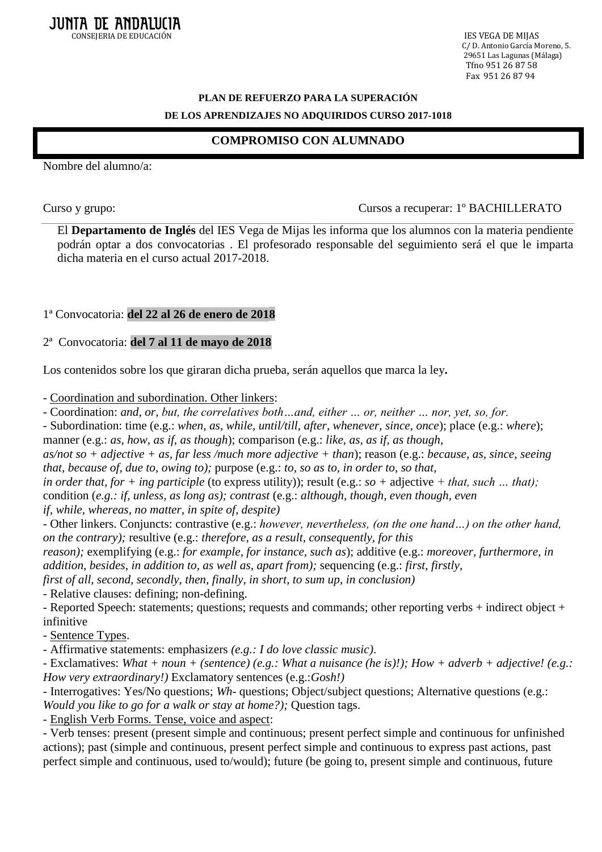C/ D. Antonio García Moreno, 5. 29651 Las Lagunas (Málaga) Tfno 951 26 87 58 Fax 951 26 87 94

## **PLAN DE REFUERZO PARA LA SUPERACIÓN DE LOS APRENDIZAJES NO ADQUIRIDOS CURSO 2017-1018**

# **COMPROMISO CON ALUMNADO**

Nombre del alumno/a:

#### Curso y grupo: Cursos a recuperar: 1º BACHILLERATO

El **Departamento de Inglés** del IES Vega de Mijas les informa que los alumnos con la materia pendiente podrán optar a dos convocatorias . El profesorado responsable del seguimiento será el que le imparta dicha materia en el curso actual 2017-2018.

1ª Convocatoria: **del 22 al 26 de enero de 2018**

#### 2ª Convocatoria: **del 7 al 11 de mayo de 2018**

Los contenidos sobre los que giraran dicha prueba, serán aquellos que marca la ley**.**

- Coordination and subordination. Other linkers:

- Coordination: *and, or, but, the correlatives both…and, either … or, neither … nor, yet, so, for.*

- Subordination: time (e.g.: *when, as, while, until/till, after, whenever, since, once*); place (e.g.: *where*);

manner (e.g.: *as, how, as if, as though*); comparison (e.g.: *like, as, as if, as though,*

*as/not so + adjective + as, far less /much more adjective + than*); reason (e.g.: *because, as, since, seeing that, because of, due to, owing to);* purpose (e.g.: *to, so as to, in order to, so that,*

*in order that, for + ing participle* (to express utility)); result (e.g.: *so +* adjective *+ that, such … that);*  condition (*e.g.: if, unless, as long as); contrast* (e.g.: *although, though, even though, even if, while, whereas, no matter, in spite of, despite)*

- Other linkers. Conjuncts: contrastive (e.g.: *however, nevertheless, (on the one hand…) on the other hand, on the contrary);* resultive (e.g.: *therefore, as a result, consequently, for this*

*reason);* exemplifying (e.g.: *for example, for instance, such as*); additive (e.g.: *moreover, furthermore, in addition, besides*, *in addition to, as well as, apart from);* sequencing (e.g.: *first, firstly,*

*first of all, second, secondly, then, finally, in short*, *to sum up, in conclusion)*

- Relative clauses: defining; non-defining.

- Reported Speech: statements; questions; requests and commands; other reporting verbs + indirect object + infinitive

- Sentence Types.

- Affirmative statements: emphasizers *(e.g.: I do love classic music)*.

- Exclamatives: *What + noun + (sentence) (e.g.: What a nuisance (he is)!); How + adverb + adjective! (e.g.: How very extraordinary!)* Exclamatory sentences (e.g.:*Gosh!)*

- Interrogatives: Yes/No questions; *Wh-* questions; Object/subject questions; Alternative questions (e.g.: *Would you like to go for a walk or stay at home?); Ouestion tags.* 

- English Verb Forms. Tense, voice and aspect:

- Verb tenses: present (present simple and continuous; present perfect simple and continuous for unfinished actions); past (simple and continuous, present perfect simple and continuous to express past actions, past perfect simple and continuous, used to/would); future (be going to, present simple and continuous, future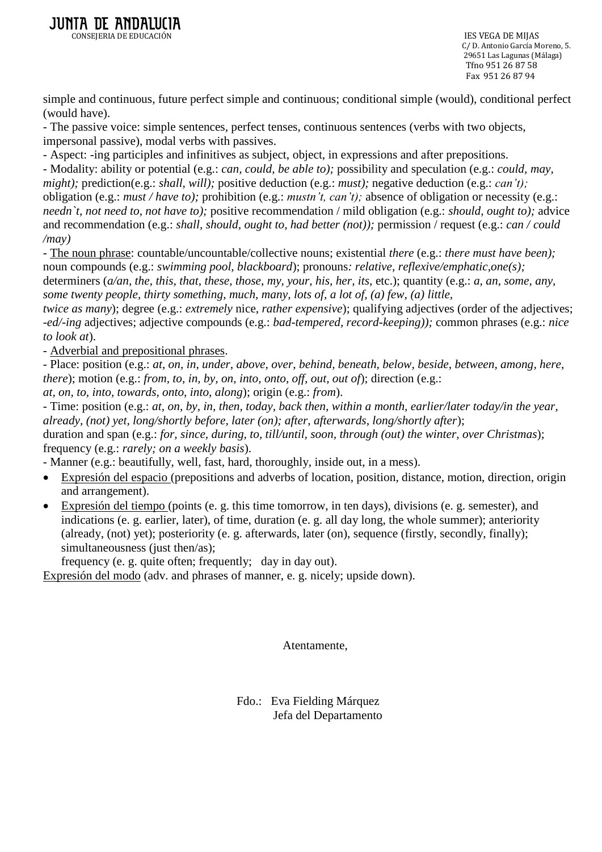C/ D. Antonio García Moreno, 5. 29651 Las Lagunas (Málaga) Tfno 951 26 87 58 Fax 951 26 87 94

simple and continuous, future perfect simple and continuous; conditional simple (would), conditional perfect (would have).

- The passive voice: simple sentences, perfect tenses, continuous sentences (verbs with two objects, impersonal passive), modal verbs with passives.

- Aspect: -ing participles and infinitives as subject, object, in expressions and after prepositions. - Modality: ability or potential (e.g.: *can, could, be able to);* possibility and speculation (e.g.: *could, may, might);* prediction(e.g.: *shall, will);* positive deduction (e.g.: *must);* negative deduction (e.g.: *can't);* obligation (e.g.: *must / have to);* prohibition (e.g.: *mustn't, can't);* absence of obligation or necessity (e.g.: *needn`t, not need to, not have to);* positive recommendation / mild obligation (e.g.: *should, ought to);* advice and recommendation (e.g.: *shall, should, ought to, had better (not));* permission / request (e.g.: *can / could /may)*

- The noun phrase: countable/uncountable/collective nouns; existential *there* (e.g.: *there must have been);*  noun compounds (e.g.: *swimming pool, blackboard*); pronouns*: relative, reflexive/emphatic,one(s);*  determiners (*a/an, the, this, that, these, those, my, your, his, her, its,* etc.); quantity (e.g.: *a, an, some, any, some twenty people, thirty something, much, many, lots of, a lot of, (a) few, (a) little,*

*twice as many*); degree (e.g.: *extremely* nice, *rather expensive*); qualifying adjectives (order of the adjectives; -*ed/-ing* adjectives; adjective compounds (e.g.: *bad-tempered, record-keeping));* common phrases (e.g.: *nice to look at*).

- Adverbial and prepositional phrases.

- Place: position (e.g.: *at, on, in, under, above, over, behind, beneath, below, beside, between, among, here, there*); motion (e.g.: *from, to, in, by, on, into, onto, off, out, out of*); direction (e.g.:

*at, on, to, into, towards, onto, into, along*); origin (e.g.: *from*).

- Time: position (e.g.: *at, on, by, in, then, today, back then, within a month, earlier/later today/in the year, already, (not) yet, long/shortly before, later (on); after, afterwards, long/shortly after*); duration and span (e.g.: *for, since, during, to, till/until, soon, through (out) the winter, over Christmas*); frequency (e.g.: *rarely; on a weekly basis*).

- Manner (e.g.: beautifully, well, fast, hard, thoroughly, inside out, in a mess).

- Expresión del espacio (prepositions and adverbs of location, position, distance, motion, direction, origin and arrangement).
- Expresión del tiempo (points (e. g. this time tomorrow, in ten days), divisions (e. g. semester), and indications (e. g. earlier, later), of time, duration (e. g. all day long, the whole summer); anteriority (already, (not) yet); posteriority (e. g. afterwards, later (on), sequence (firstly, secondly, finally); simultaneousness (just then/as);

frequency (e. g. quite often; frequently; day in day out).

Expresión del modo (adv. and phrases of manner, e. g. nicely; upside down).

Atentamente,

Fdo.: Eva Fielding Márquez Jefa del Departamento